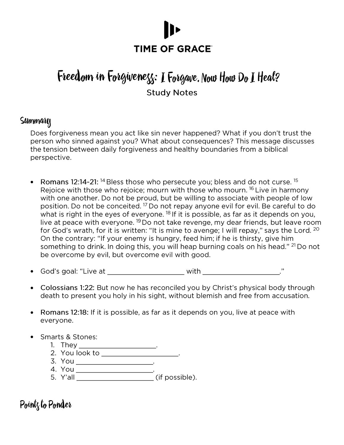# **TIME OF GRACE®**

## Freedom in Forgivenezz: I Forgave. Now How Do I Heal? **Study Notes**

#### Summary

Does forgiveness mean you act like sin never happened? What if you don't trust the person who sinned against you? What about consequences? This message discusses the tension between daily forgiveness and healthy boundaries from a biblical perspective.

- Romans 12:14-21: <sup>14</sup> Bless those who persecute you; bless and do not curse. <sup>15</sup> Rejoice with those who rejoice; mourn with those who mourn. <sup>16</sup> Live in harmony with one another. Do not be proud, but be willing to associate with people of low position. Do not be conceited. <sup>17</sup> Do not repay anyone evil for evil. Be careful to do what is right in the eyes of everyone. <sup>18</sup> If it is possible, as far as it depends on you, live at peace with everyone. <sup>19</sup> Do not take revenge, my dear friends, but leave room for God's wrath, for it is written: "It is mine to avenge; I will repay," says the Lord. 20 On the contrary: "If your enemy is hungry, feed him; if he is thirsty, give him something to drink. In doing this, you will heap burning coals on his head." <sup>21</sup> Do not be overcome by evil, but overcome evil with good.
- God's goal: "Live at \_\_\_\_\_\_\_\_\_\_\_\_\_\_\_\_\_\_\_\_\_\_\_\_\_\_with \_\_\_\_\_\_\_\_\_\_\_\_\_\_\_\_\_\_\_\_\_\_\_\_\_\_\_\_\_ •
- Colossians 1:22: But now he has reconciled you by Christ's physical body through death to present you holy in his sight, without blemish and free from accusation.
- Romans 12:18: If it is possible, as far as it depends on you, live at peace with • everyone.
- **Smarts & Stones:** 
	-
	-
	-
	-

### Pointz to Ponder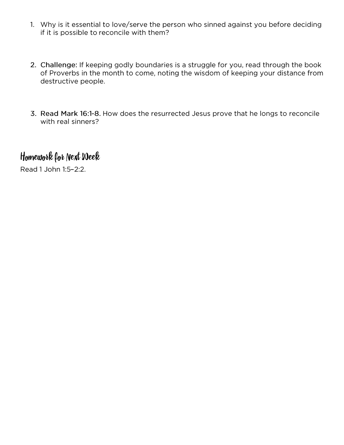- 1. Why is it essential to love/serve the person who sinned against you before deciding if it is possible to reconcile with them?
- 2. Challenge: If keeping godly boundaries is a struggle for you, read through the book of Proverbs in the month to come, noting the wisdom of keeping your distance from destructive people.
- 3. Read Mark 16:1-8. How does the resurrected Jesus prove that he longs to reconcile with real sinners?

## Homework for Next Week

Read 1 John 1:5-2:2.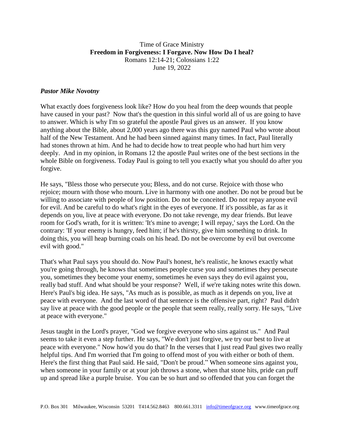#### Time of Grace Ministry **Freedom in Forgiveness: I Forgave. Now How Do I heal?** Romans 12:14-21; Colossians 1:22 June 19, 2022

#### *Pastor Mike Novotny*

What exactly does forgiveness look like? How do you heal from the deep wounds that people have caused in your past? Now that's the question in this sinful world all of us are going to have to answer. Which is why I'm so grateful the apostle Paul gives us an answer. If you know anything about the Bible, about 2,000 years ago there was this guy named Paul who wrote about half of the New Testament. And he had been sinned against many times. In fact, Paul literally had stones thrown at him. And he had to decide how to treat people who had hurt him very deeply. And in my opinion, in Romans 12 the apostle Paul writes one of the best sections in the whole Bible on forgiveness. Today Paul is going to tell you exactly what you should do after you forgive.

He says, "Bless those who persecute you; Bless, and do not curse. Rejoice with those who rejoice; mourn with those who mourn. Live in harmony with one another. Do not be proud but be willing to associate with people of low position. Do not be conceited. Do not repay anyone evil for evil. And be careful to do what's right in the eyes of everyone. If it's possible, as far as it depends on you, live at peace with everyone. Do not take revenge, my dear friends. But leave room for God's wrath, for it is written: 'It's mine to avenge; I will repay,' says the Lord. On the contrary: 'If your enemy is hungry, feed him; if he's thirsty, give him something to drink. In doing this, you will heap burning coals on his head. Do not be overcome by evil but overcome evil with good."

That's what Paul says you should do. Now Paul's honest, he's realistic, he knows exactly what you're going through, he knows that sometimes people curse you and sometimes they persecute you, sometimes they become your enemy, sometimes he even says they do evil against you, really bad stuff. And what should be your response? Well, if we're taking notes write this down. Here's Paul's big idea. He says, "As much as is possible, as much as it depends on you, live at peace with everyone. And the last word of that sentence is the offensive part, right? Paul didn't say live at peace with the good people or the people that seem really, really sorry. He says, "Live at peace with everyone."

Jesus taught in the Lord's prayer, "God we forgive everyone who sins against us." And Paul seems to take it even a step further. He says, "We don't just forgive, we try our best to live at peace with everyone." Now how'd you do that? In the verses that I just read Paul gives two really helpful tips. And I'm worried that I'm going to offend most of you with either or both of them. Here's the first thing that Paul said. He said, "Don't be proud." When someone sins against you, when someone in your family or at your job throws a stone, when that stone hits, pride can puff up and spread like a purple bruise. You can be so hurt and so offended that you can forget the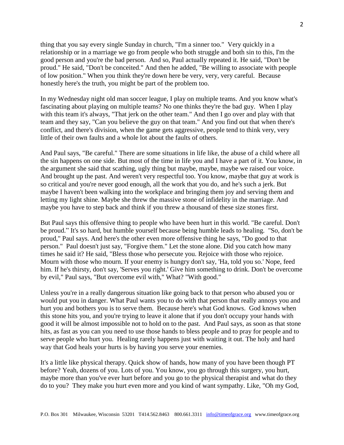thing that you say every single Sunday in church, "I'm a sinner too." Very quickly in a relationship or in a marriage we go from people who both struggle and both sin to this, I'm the good person and you're the bad person. And so, Paul actually repeated it. He said, "Don't be proud." He said, "Don't be conceited." And then he added, "Be willing to associate with people of low position." When you think they're down here be very, very, very careful. Because honestly here's the truth, you might be part of the problem too.

In my Wednesday night old man soccer league, I play on multiple teams. And you know what's fascinating about playing on multiple teams? No one thinks they're the bad guy. When I play with this team it's always, "That jerk on the other team." And then I go over and play with that team and they say, "Can you believe the guy on that team." And you find out that when there's conflict, and there's division, when the game gets aggressive, people tend to think very, very little of their own faults and a whole lot about the faults of others.

And Paul says, "Be careful." There are some situations in life like, the abuse of a child where all the sin happens on one side. But most of the time in life you and I have a part of it. You know, in the argument she said that scathing, ugly thing but maybe, maybe, maybe we raised our voice. And brought up the past. And weren't very respectful too. You know, maybe that guy at work is so critical and you're never good enough, all the work that you do, and he's such a jerk. But maybe I haven't been walking into the workplace and bringing them joy and serving them and letting my light shine. Maybe she threw the massive stone of infidelity in the marriage. And maybe you have to step back and think if you threw a thousand of these size stones first.

But Paul says this offensive thing to people who have been hurt in this world. "Be careful. Don't be proud." It's so hard, but humble yourself because being humble leads to healing. "So, don't be proud," Paul says. And here's the other even more offensive thing he says, "Do good to that person." Paul doesn't just say, "Forgive them." Let the stone alone. Did you catch how many times he said it? He said, "Bless those who persecute you. Rejoice with those who rejoice. Mourn with those who mourn. If your enemy is hungry don't say, 'Ha, told you so.' Nope, feed him. If he's thirsty, don't say, 'Serves you right.' Give him something to drink. Don't be overcome by evil," Paul says, "But overcome evil with," What? "With good."

Unless you're in a really dangerous situation like going back to that person who abused you or would put you in danger. What Paul wants you to do with that person that really annoys you and hurt you and bothers you is to serve them. Because here's what God knows. God knows when this stone hits you, and you're trying to leave it alone that if you don't occupy your hands with good it will be almost impossible not to hold on to the past. And Paul says, as soon as that stone hits, as fast as you can you need to use those hands to bless people and to pray for people and to serve people who hurt you. Healing rarely happens just with waiting it out. The holy and hard way that God heals your hurts is by having you serve your enemies.

It's a little like physical therapy. Quick show of hands, how many of you have been though PT before? Yeah, dozens of you. Lots of you. You know, you go through this surgery, you hurt, maybe more than you've ever hurt before and you go to the physical therapist and what do they do to you? They make you hurt even more and you kind of want sympathy. Like, "Oh my God,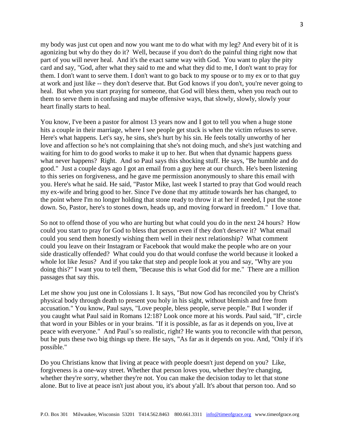my body was just cut open and now you want me to do what with my leg? And every bit of it is agonizing but why do they do it? Well, because if you don't do the painful thing right now that part of you will never heal. And it's the exact same way with God. You want to play the pity card and say, "God, after what they said to me and what they did to me, I don't want to pray for them. I don't want to serve them. I don't want to go back to my spouse or to my ex or to that guy at work and just like -- they don't deserve that. But God knows if you don't, you're never going to heal. But when you start praying for someone, that God will bless them, when you reach out to them to serve them in confusing and maybe offensive ways, that slowly, slowly, slowly your heart finally starts to heal.

You know, I've been a pastor for almost 13 years now and I got to tell you when a huge stone hits a couple in their marriage, where I see people get stuck is when the victim refuses to serve. Here's what happens. Let's say, he sins, she's hurt by his sin. He feels totally unworthy of her love and affection so he's not complaining that she's not doing much, and she's just watching and waiting for him to do good works to make it up to her. But when that dynamic happens guess what never happens? Right. And so Paul says this shocking stuff. He says, "Be humble and do good." Just a couple days ago I got an email from a guy here at our church. He's been listening to this series on forgiveness, and he gave me permission anonymously to share this email with you. Here's what he said. He said, "Pastor Mike, last week I started to pray that God would reach my ex-wife and bring good to her. Since I've done that my attitude towards her has changed, to the point where I'm no longer holding that stone ready to throw it at her if needed, I put the stone down. So, Pastor, here's to stones down, heads up, and moving forward in freedom." I love that.

So not to offend those of you who are hurting but what could you do in the next 24 hours? How could you start to pray for God to bless that person even if they don't deserve it? What email could you send them honestly wishing them well in their next relationship? What comment could you leave on their Instagram or Facebook that would make the people who are on your side drastically offended? What could you do that would confuse the world because it looked a whole lot like Jesus? And if you take that step and people look at you and say, "Why are you doing this?" I want you to tell them, "Because this is what God did for me." There are a million passages that say this.

Let me show you just one in Colossians 1. It says, "But now God has reconciled you by Christ's physical body through death to present you holy in his sight, without blemish and free from accusation." You know, Paul says, "Love people, bless people, serve people." But I wonder if you caught what Paul said in Romans 12:18? Look once more at his words. Paul said, "If", circle that word in your Bibles or in your brains. "If it is possible, as far as it depends on you, live at peace with everyone." And Paul's so realistic, right? He wants you to reconcile with that person, but he puts these two big things up there. He says, "As far as it depends on you. And, "Only if it's possible."

Do you Christians know that living at peace with people doesn't just depend on you? Like, forgiveness is a one-way street. Whether that person loves you, whether they're changing, whether they're sorry, whether they're not. You can make the decision today to let that stone alone. But to live at peace isn't just about you, it's about y'all. It's about that person too. And so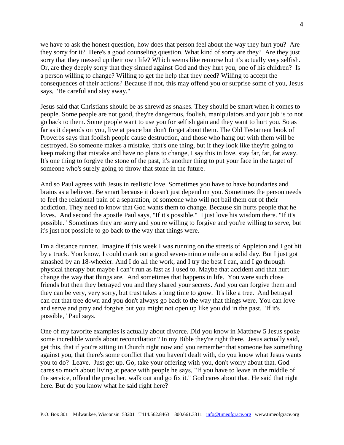we have to ask the honest question, how does that person feel about the way they hurt you? Are they sorry for it? Here's a good counseling question. What kind of sorry are they? Are they just sorry that they messed up their own life? Which seems like remorse but it's actually very selfish. Or, are they deeply sorry that they sinned against God and they hurt you, one of his children? Is a person willing to change? Willing to get the help that they need? Willing to accept the consequences of their actions? Because if not, this may offend you or surprise some of you, Jesus says, "Be careful and stay away."

Jesus said that Christians should be as shrewd as snakes. They should be smart when it comes to people. Some people are not good, they're dangerous, foolish, manipulators and your job is to not go back to them. Some people want to use you for selfish gain and they want to hurt you. So as far as it depends on you, live at peace but don't forget about them. The Old Testament book of Proverbs says that foolish people cause destruction, and those who hang out with them will be destroyed. So someone makes a mistake, that's one thing, but if they look like they're going to keep making that mistake and have no plans to change, I say this in love, stay far, far, far away. It's one thing to forgive the stone of the past, it's another thing to put your face in the target of someone who's surely going to throw that stone in the future.

And so Paul agrees with Jesus in realistic love. Sometimes you have to have boundaries and brains as a believer. Be smart because it doesn't just depend on you. Sometimes the person needs to feel the relational pain of a separation, of someone who will not bail them out of their addiction. They need to know that God wants them to change. Because sin hurts people that he loves. And second the apostle Paul says, "If it's possible." I just love his wisdom there. "If it's possible." Sometimes they are sorry and you're willing to forgive and you're willing to serve, but it's just not possible to go back to the way that things were.

I'm a distance runner. Imagine if this week I was running on the streets of Appleton and I got hit by a truck. You know, I could crank out a good seven-minute mile on a solid day. But I just got smashed by an 18-wheeler. And I do all the work, and I try the best I can, and I go through physical therapy but maybe I can't run as fast as I used to. Maybe that accident and that hurt change the way that things are. And sometimes that happens in life. You were such close friends but then they betrayed you and they shared your secrets. And you can forgive them and they can be very, very sorry, but trust takes a long time to grow. It's like a tree. And betrayal can cut that tree down and you don't always go back to the way that things were. You can love and serve and pray and forgive but you might not open up like you did in the past. "If it's possible," Paul says.

One of my favorite examples is actually about divorce. Did you know in Matthew 5 Jesus spoke some incredible words about reconciliation? In my Bible they're right there. Jesus actually said, get this, that if you're sitting in Church right now and you remember that someone has something against you, that there's some conflict that you haven't dealt with, do you know what Jesus wants you to do? Leave. Just get up. Go, take your offering with you, don't worry about that. God cares so much about living at peace with people he says, "If you have to leave in the middle of the service, offend the preacher, walk out and go fix it." God cares about that. He said that right here. But do you know what he said right here?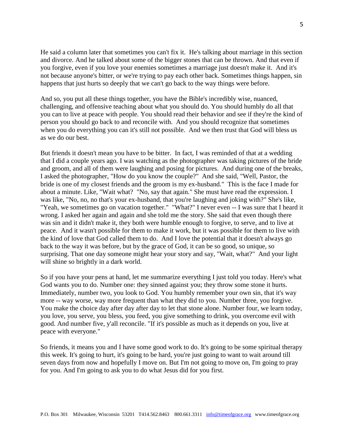He said a column later that sometimes you can't fix it. He's talking about marriage in this section and divorce. And he talked about some of the bigger stones that can be thrown. And that even if you forgive, even if you love your enemies sometimes a marriage just doesn't make it. And it's not because anyone's bitter, or we're trying to pay each other back. Sometimes things happen, sin happens that just hurts so deeply that we can't go back to the way things were before.

And so, you put all these things together, you have the Bible's incredibly wise, nuanced, challenging, and offensive teaching about what you should do. You should humbly do all that you can to live at peace with people. You should read their behavior and see if they're the kind of person you should go back to and reconcile with. And you should recognize that sometimes when you do everything you can it's still not possible. And we then trust that God will bless us as we do our best.

But friends it doesn't mean you have to be bitter. In fact, I was reminded of that at a wedding that I did a couple years ago. I was watching as the photographer was taking pictures of the bride and groom, and all of them were laughing and posing for pictures. And during one of the breaks, I asked the photographer, "How do you know the couple?" And she said, "Well, Pastor, the bride is one of my closest friends and the groom is my ex-husband." This is the face I made for about a minute. Like, "Wait what? "No, say that again." She must have read the expression. I was like, "No, no, no that's your ex-husband, that you're laughing and joking with?" She's like, "Yeah, we sometimes go on vacation together." "What?" I never even -- I was sure that I heard it wrong. I asked her again and again and she told me the story. She said that even though there was sin and it didn't make it, they both were humble enough to forgive, to serve, and to live at peace. And it wasn't possible for them to make it work, but it was possible for them to live with the kind of love that God called them to do. And I love the potential that it doesn't always go back to the way it was before, but by the grace of God, it can be so good, so unique, so surprising. That one day someone might hear your story and say, "Wait, what?" And your light will shine so brightly in a dark world.

So if you have your pens at hand, let me summarize everything I just told you today. Here's what God wants you to do. Number one: they sinned against you; they throw some stone it hurts. Immediately, number two, you look to God. You humbly remember your own sin, that it's way more -- way worse, way more frequent than what they did to you. Number three, you forgive. You make the choice day after day after day to let that stone alone. Number four, we learn today, you love, you serve, you bless, you feed, you give something to drink, you overcome evil with good. And number five, y'all reconcile. "If it's possible as much as it depends on you, live at peace with everyone."

So friends, it means you and I have some good work to do. It's going to be some spiritual therapy this week. It's going to hurt, it's going to be hard, you're just going to want to wait around till seven days from now and hopefully I move on. But I'm not going to move on, I'm going to pray for you. And I'm going to ask you to do what Jesus did for you first.